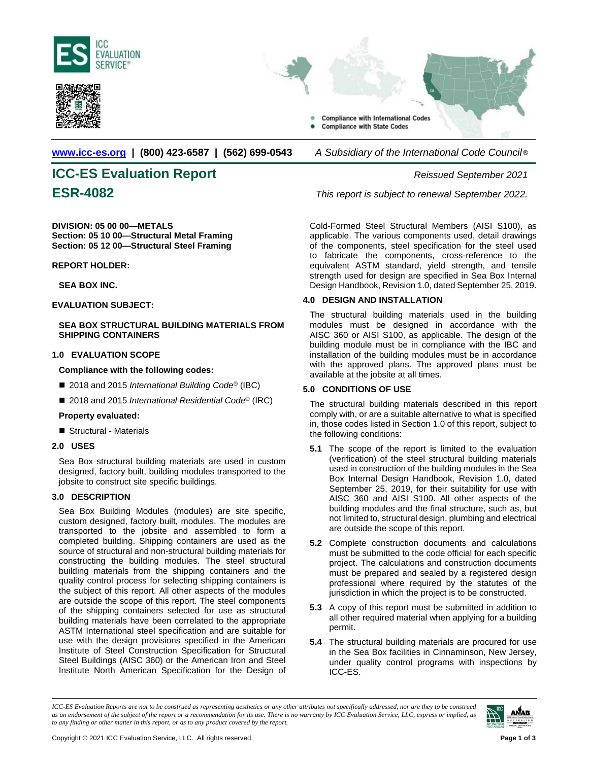





### **[www.icc-es.org](http://www.icc-es.org/) | (800) 423-6587 | (562) 699-0543** *A Subsidiary of the International Code Council* ®

# **ICC-ES Evaluation Report** *Reissued September 2021*

**DIVISION: 05 00 00—METALS Section: 05 10 00—Structural Metal Framing Section: 05 12 00—Structural Steel Framing**

**REPORT HOLDER:**

#### **SEA BOX INC.**

**EVALUATION SUBJECT:** 

#### **SEA BOX STRUCTURAL BUILDING MATERIALS FROM SHIPPING CONTAINERS**

#### **1.0 EVALUATION SCOPE**

**Compliance with the following codes:**

- 2018 and 2015 *International Building Code*<sup>®</sup> (IBC)
- 2018 and 2015 *International Residential Code*<sup>®</sup> (IRC)

#### **Property evaluated:**

Structural - Materials

#### **2.0 USES**

Sea Box structural building materials are used in custom designed, factory built, building modules transported to the jobsite to construct site specific buildings.

#### **3.0 DESCRIPTION**

Sea Box Building Modules (modules) are site specific, custom designed, factory built, modules. The modules are transported to the jobsite and assembled to form a completed building. Shipping containers are used as the source of structural and non-structural building materials for constructing the building modules. The steel structural building materials from the shipping containers and the quality control process for selecting shipping containers is the subject of this report. All other aspects of the modules are outside the scope of this report. The steel components of the shipping containers selected for use as structural building materials have been correlated to the appropriate ASTM International steel specification and are suitable for use with the design provisions specified in the American Institute of Steel Construction Specification for Structural Steel Buildings (AISC 360) or the American Iron and Steel Institute North American Specification for the Design of

**ESR-4082** *This report is subject to renewal September 2022.*

Cold-Formed Steel Structural Members (AISI S100), as applicable. The various components used, detail drawings of the components, steel specification for the steel used to fabricate the components, cross-reference to the equivalent ASTM standard, yield strength, and tensile strength used for design are specified in Sea Box Internal Design Handbook, Revision 1.0, dated September 25, 2019.

#### **4.0 DESIGN AND INSTALLATION**

The structural building materials used in the building modules must be designed in accordance with the AISC 360 or AISI S100, as applicable. The design of the building module must be in compliance with the IBC and installation of the building modules must be in accordance with the approved plans. The approved plans must be available at the jobsite at all times.

#### **5.0 CONDITIONS OF USE**

The structural building materials described in this report comply with, or are a suitable alternative to what is specified in, those codes listed in Section 1.0 of this report, subject to the following conditions:

- **5.1** The scope of the report is limited to the evaluation (verification) of the steel structural building materials used in construction of the building modules in the Sea Box Internal Design Handbook, Revision 1.0, dated September 25, 2019, for their suitability for use with AISC 360 and AISI S100. All other aspects of the building modules and the final structure, such as, but not limited to, structural design, plumbing and electrical are outside the scope of this report.
- **5.2** Complete construction documents and calculations must be submitted to the code official for each specific project. The calculations and construction documents must be prepared and sealed by a registered design professional where required by the statutes of the jurisdiction in which the project is to be constructed.
- **5.3** A copy of this report must be submitted in addition to all other required material when applying for a building permit.
- **5.4** The structural building materials are procured for use in the Sea Box facilities in Cinnaminson, New Jersey, under quality control programs with inspections by ICC-ES.

*ICC-ES Evaluation Reports are not to be construed as representing aesthetics or any other attributes not specifically addressed, nor are they to be construed as an endorsement of the subject of the report or a recommendation for its use. There is no warranty by ICC Evaluation Service, LLC, express or implied, as to any finding or other matter in this report, or as to any product covered by the report.*

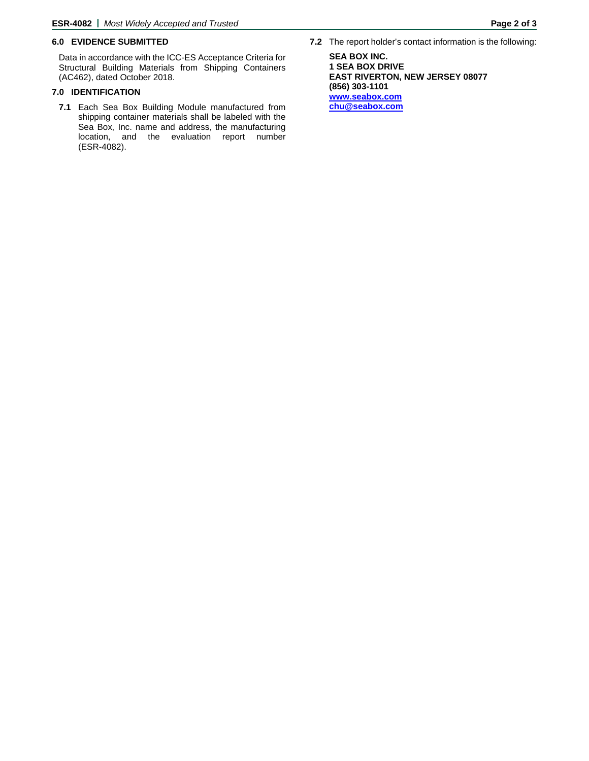#### **6.0 EVIDENCE SUBMITTED**

Data in accordance with the ICC-ES Acceptance Criteria for Structural Building Materials from Shipping Containers (AC462), dated October 2018.

#### **7.0 IDENTIFICATION**

**7.1** Each Sea Box Building Module manufactured from shipping container materials shall be labeled with the Sea Box, Inc. name and address, the manufacturing location, and the evaluation report number (ESR-4082).

**SEA BOX INC. 1 SEA BOX DRIVE EAST RIVERTON, NEW JERSEY 08077 (856) 303-1101 [www.seabox.com](http://www.seabox.com/) [chu@seabox.com](mailto:chu@seabox.com)**